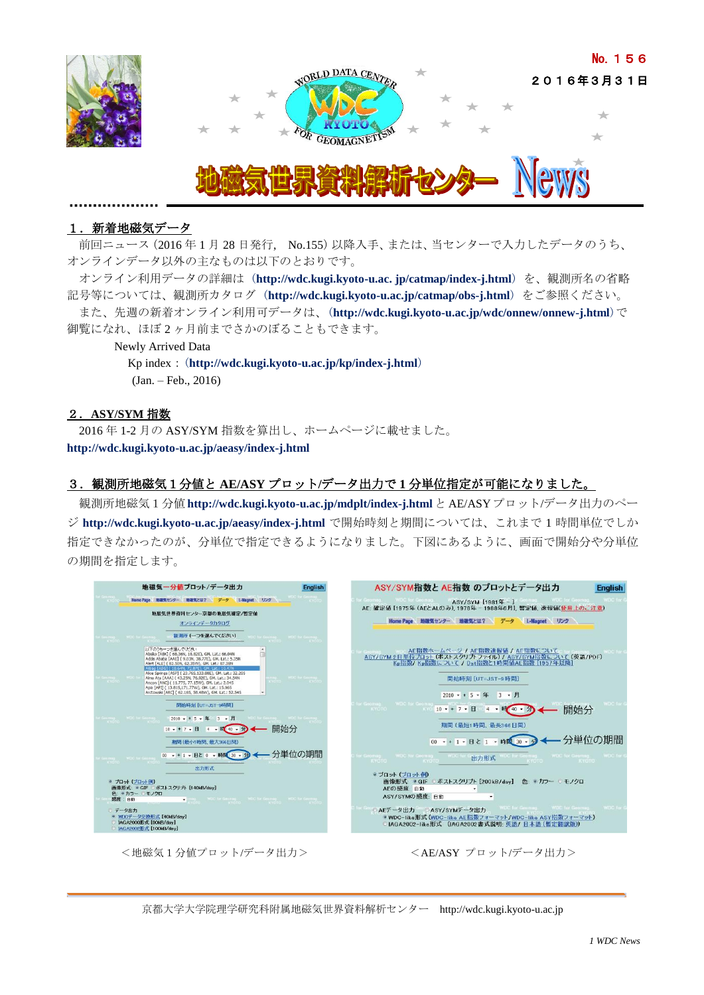

# 1. 新着地磁気データ

前回ニュース(2016年1月28日発行, No.155)以降入手、または、当センターで入力したデータのうち、 オンラインデータ以外の主なものは以下のとおりです。

オンライン利用データの詳細は (**http://wdc.kugi.kyoto-u.ac. jp/catmap/index-j.html**) を、観測所名の省略 記号等については、観測所カタログ (**http://wdc.kugi.kyoto-u.ac.jp/catmap/obs-j.html**) をご参照ください。 また、先週の新着オンライン利用可データは、(**http://wdc.kugi.kyoto-u.ac.jp/wdc/onnew/onnew-j.html**)で 御覧になれ、ほぼ 2 ヶ月前までさかのぼることもできます。

 Newly Arrived Data Kp index:(**<http://wdc.kugi.kyoto-u.ac.jp/kp/index-j.html>**) (Jan. – Feb., 2016)

#### 2.**ASY/SYM** 指数

2016 年 1-2 月の ASY/SYM 指数を算出し、ホームページに載せました。 **<http://wdc.kugi.kyoto-u.ac.jp/aeasy/index-j.html>**

## 3.観測所地磁気1分値と **AE/ASY** プロット**/**データ出力で **1** 分単位指定が可能になりました。

観測所地磁気1分値 **http://wdc.kugi.kyoto-u.ac.jp/mdplt/index-j.html** と AE/ASYプロット/データ出力のペー ジ **http://wdc.kugi.kyoto-u.ac.jp/aeasy/index-j.html** で開始時刻と期間については、これまで 1 時間単位でしか 指定できなかったのが、分単位で指定できるようになりました。下図にあるように、画面で開始分や分単位 の期間を指定します。



<地磁気1分値プロット/データ出力> <AE/ASY プロット/データ出力>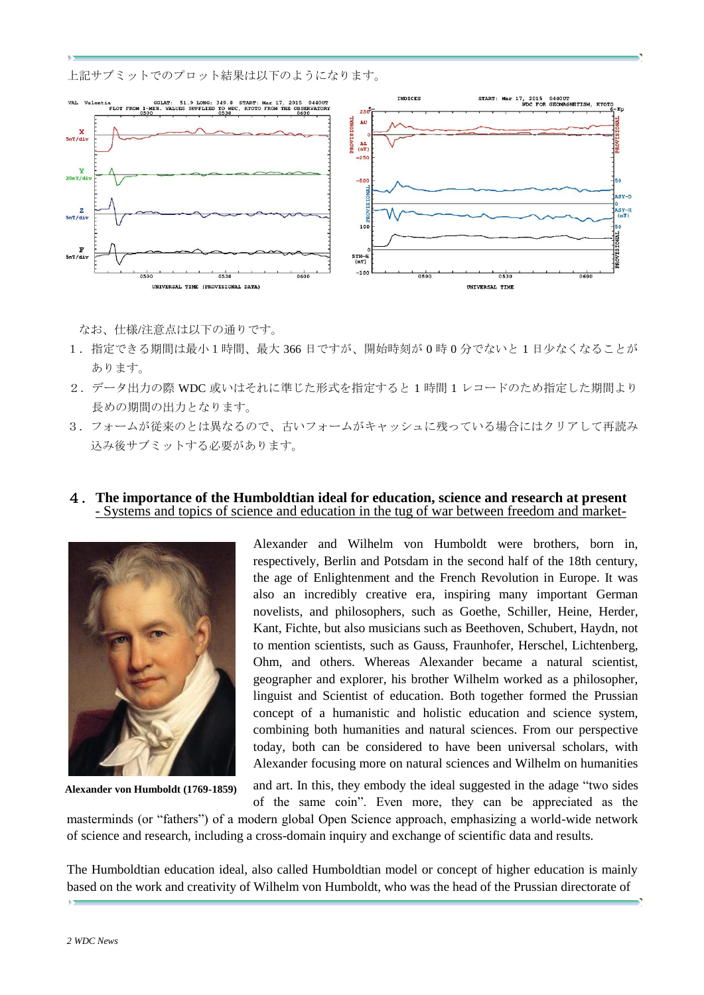上記サブミットでのプロット結果は以下のようになります。



なお、仕様/注意点は以下の通りです。

- 1.指定できる期間は最小1時間、最大 366 日ですが、開始時刻が 0 時 0 分でないと 1 日少なくなることが あります。
- 2.データ出力の際 WDC 或いはそれに準じた形式を指定すると 1 時間 1 レコードのため指定した期間より 長めの期間の出力となります。
- 3.フォームが従来のとは異なるので、古いフォームがキャッシュに残っている場合にはクリアして再読み 込み後サブミットする必要があります。

## 4.**The importance of the Humboldtian ideal for education, science and research at present** - Systems and topics of science and education in the tug of war between freedom and market-



**Alexander von Humboldt (1769-1859)**

Alexander and Wilhelm von Humboldt were brothers, born in, respectively, Berlin and Potsdam in the second half of the 18th century, the age of Enlightenment and the French Revolution in Europe. It was also an incredibly creative era, inspiring many important German novelists, and philosophers, such as Goethe, Schiller, Heine, Herder, Kant, Fichte, but also musicians such as Beethoven, Schubert, Haydn, not to mention scientists, such as Gauss, Fraunhofer, Herschel, Lichtenberg, Ohm, and others. Whereas Alexander became a natural scientist, geographer and explorer, his brother Wilhelm worked as a philosopher, linguist and Scientist of education. Both together formed the Prussian concept of a humanistic and holistic education and science system, combining both humanities and natural sciences. From our perspective today, both can be considered to have been universal scholars, with Alexander focusing more on natural sciences and Wilhelm on humanities

and art. In this, they embody the ideal suggested in the adage "two sides of the same coin". Even more, they can be appreciated as the

masterminds (or "fathers") of a modern global Open Science approach, emphasizing a world-wide network of science and research, including a cross-domain inquiry and exchange of scientific data and results.

The Humboldtian education ideal, also called Humboldtian model or concept of higher education is mainly based on the work and creativity of Wilhelm von Humboldt, who was the head of the Prussian directorate of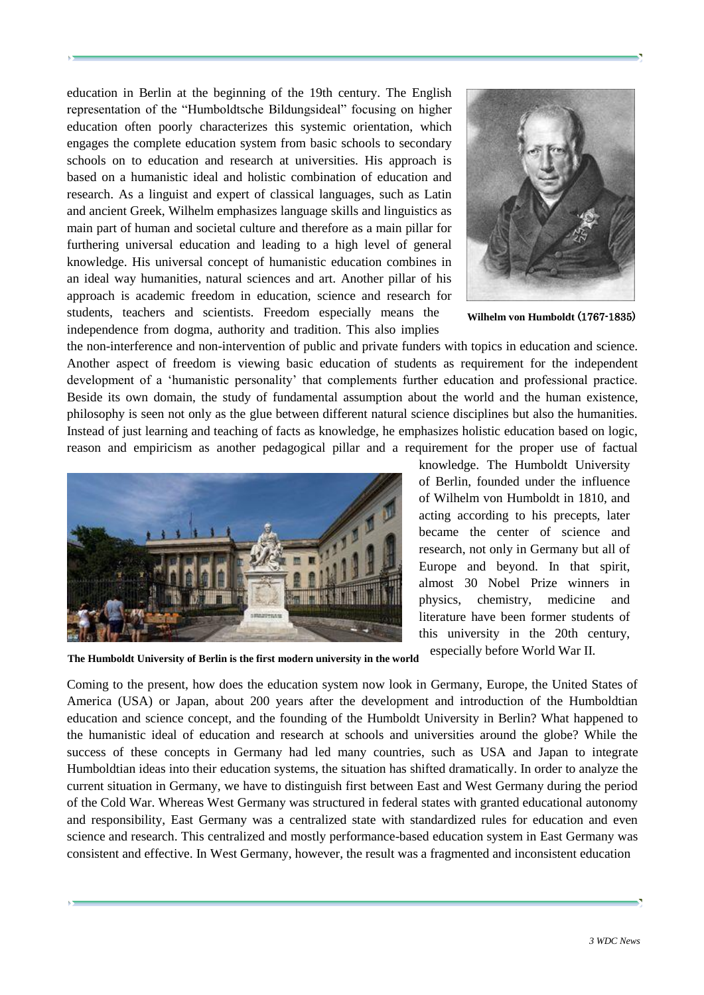education in Berlin at the beginning of the 19th century. The English representation of the "Humboldtsche Bildungsideal" focusing on higher education often poorly characterizes this systemic orientation, which engages the complete education system from basic schools to secondary schools on to education and research at universities. His approach is based on a humanistic ideal and holistic combination of education and research. As a linguist and expert of classical languages, such as Latin and ancient Greek, Wilhelm emphasizes language skills and linguistics as main part of human and societal culture and therefore as a main pillar for furthering universal education and leading to a high level of general knowledge. His universal concept of humanistic education combines in an ideal way humanities, natural sciences and art. Another pillar of his approach is academic freedom in education, science and research for students, teachers and scientists. Freedom especially means the independence from dogma, authority and tradition. This also implies



**Wilhelm von Humboldt** (1767-1835)

the non-interference and non-intervention of public and private funders with topics in education and science. Another aspect of freedom is viewing basic education of students as requirement for the independent development of a 'humanistic personality' that complements further education and professional practice. Beside its own domain, the study of fundamental assumption about the world and the human existence, philosophy is seen not only as the glue between different natural science disciplines but also the humanities. Instead of just learning and teaching of facts as knowledge, he emphasizes holistic education based on logic, reason and empiricism as another pedagogical pillar and a requirement for the proper use of factual



knowledge. The Humboldt University of Berlin, founded under the influence of Wilhelm von Humboldt in 1810, and acting according to his precepts, later became the center of science and research, not only in Germany but all of Europe and beyond. In that spirit, almost 30 Nobel Prize winners in physics, chemistry, medicine and literature have been former students of this university in the 20th century, especially before World War II.

**The Humboldt University of Berlin is the first modern university in the world**

Coming to the present, how does the education system now look in Germany, Europe, the United States of America (USA) or Japan, about 200 years after the development and introduction of the Humboldtian education and science concept, and the founding of the Humboldt University in Berlin? What happened to the humanistic ideal of education and research at schools and universities around the globe? While the success of these concepts in Germany had led many countries, such as USA and Japan to integrate Humboldtian ideas into their education systems, the situation has shifted dramatically. In order to analyze the current situation in Germany, we have to distinguish first between East and West Germany during the period of the Cold War. Whereas West Germany was structured in federal states with granted educational autonomy and responsibility, East Germany was a centralized state with standardized rules for education and even science and research. This centralized and mostly performance-based education system in East Germany was consistent and effective. In West Germany, however, the result was a fragmented and inconsistent education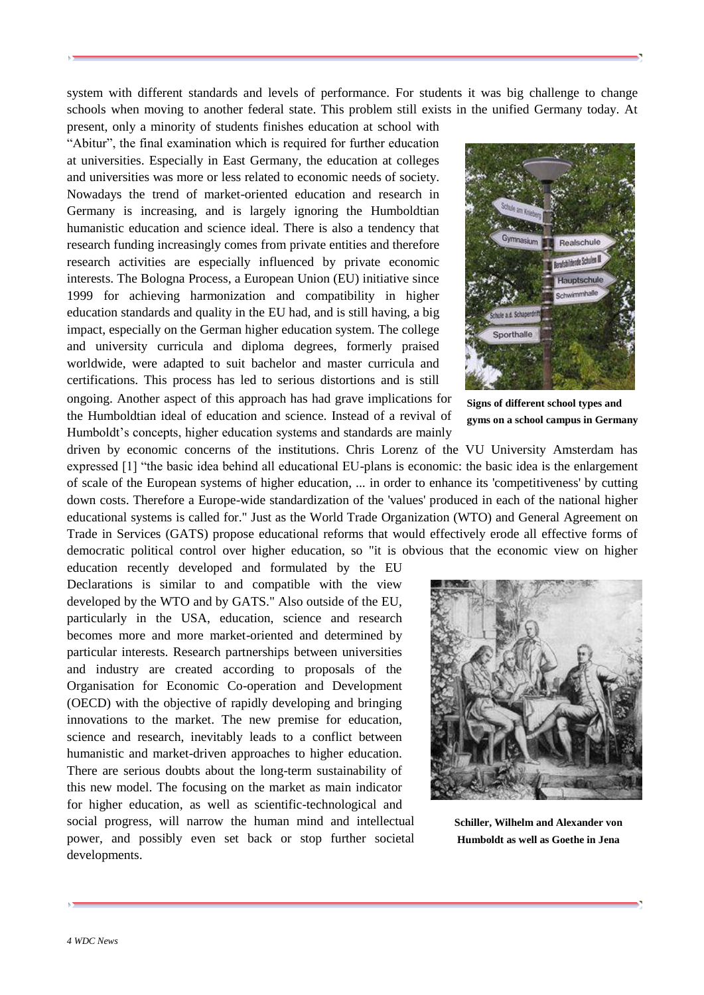system with different standards and levels of performance. For students it was big challenge to change schools when moving to another federal state. This problem still exists in the unified Germany today. At

present, only a minority of students finishes education at school with "Abitur", the final examination which is required for further education at universities. Especially in East Germany, the education at colleges and universities was more or less related to economic needs of society. Nowadays the trend of market-oriented education and research in Germany is increasing, and is largely ignoring the Humboldtian humanistic education and science ideal. There is also a tendency that research funding increasingly comes from private entities and therefore research activities are especially influenced by private economic interests. The Bologna Process, a European Union (EU) initiative since 1999 for achieving harmonization and compatibility in higher education standards and quality in the EU had, and is still having, a big impact, especially on the German higher education system. The college and university curricula and diploma degrees, formerly praised worldwide, were adapted to suit bachelor and master curricula and certifications. This process has led to serious distortions and is still ongoing. Another aspect of this approach has had grave implications for

the Humboldtian ideal of education and science. Instead of a revival of Humboldt's concepts, higher education systems and standards are mainly



**Signs of different school types and gyms on a school campus in Germany**

driven by economic concerns of the institutions. Chris Lorenz of the VU University Amsterdam has expressed [1] "the basic idea behind all educational EU-plans is economic: the basic idea is the enlargement of scale of the European systems of higher education, ... in order to enhance its 'competitiveness' by cutting down costs. Therefore a Europe-wide standardization of the 'values' produced in each of the national higher educational systems is called for." Just as the World Trade Organization (WTO) and General Agreement on Trade in Services (GATS) propose educational reforms that would effectively erode all effective forms of democratic political control over higher education, so "it is obvious that the economic view on higher

education recently developed and formulated by the EU Declarations is similar to and compatible with the view developed by the WTO and by GATS." Also outside of the EU, particularly in the USA, education, science and research becomes more and more market-oriented and determined by particular interests. Research partnerships between universities and industry are created according to proposals of the Organisation for Economic Co-operation and Development (OECD) with the objective of rapidly developing and bringing innovations to the market. The new premise for education, science and research, inevitably leads to a conflict between humanistic and market-driven approaches to higher education. There are serious doubts about the long-term sustainability of this new model. The focusing on the market as main indicator for higher education, as well as scientific-technological and social progress, will narrow the human mind and intellectual power, and possibly even set back or stop further societal developments.



**Schiller, Wilhelm and Alexander von Humboldt as well as Goethe in Jena**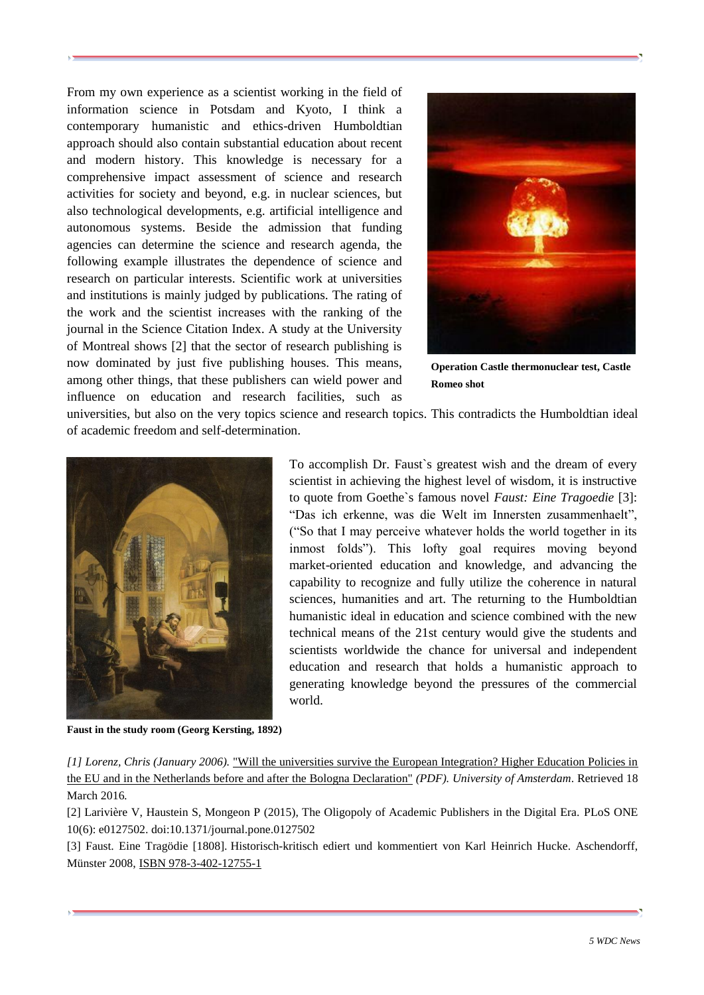From my own experience as a scientist working in the field of information science in Potsdam and Kyoto, I think a contemporary humanistic and ethics-driven Humboldtian approach should also contain substantial education about recent and modern history. This knowledge is necessary for a comprehensive impact assessment of science and research activities for society and beyond, e.g. in nuclear sciences, but also technological developments, e.g. artificial intelligence and autonomous systems. Beside the admission that funding agencies can determine the science and research agenda, the following example illustrates the dependence of science and research on particular interests. Scientific work at universities and institutions is mainly judged by publications. The rating of the work and the scientist increases with the ranking of the journal in the Science Citation Index. A study at the University of Montreal shows [2] that the sector of research publishing is now dominated by just five publishing houses. This means, among other things, that these publishers can wield power and influence on education and research facilities, such as



**Operation Castle thermonuclear test, Castle Romeo shot**

universities, but also on the very topics science and research topics. This contradicts the Humboldtian ideal of academic freedom and self-determination.



To accomplish Dr. Faust`s greatest wish and the dream of every scientist in achieving the highest level of wisdom, it is instructive to quote from Goethe`s famous novel *Faust: Eine Tragoedie* [3]: "Das ich erkenne, was die Welt im Innersten zusammenhaelt", ("So that I may perceive whatever holds the world together in its inmost folds"). This lofty goal requires moving beyond market-oriented education and knowledge, and advancing the capability to recognize and fully utilize the coherence in natural sciences, humanities and art. The returning to the Humboldtian humanistic ideal in education and science combined with the new technical means of the 21st century would give the students and scientists worldwide the chance for universal and independent education and research that holds a humanistic approach to generating knowledge beyond the pressures of the commercial world.

**Faust in the study room (Georg Kersting, 1892)**

*[1] Lorenz, Chris (January 2006).* ["Will the universities survive the European Integration? Higher Education Policies in](http://www.lsa.umich.edu/UMICH/ces/Home/Resources/Michigan%20Paper%20Series/Lorenz_Will_Universities_Survive.pdf)  [the EU and in the Netherlands before and after the Bologna Declaration"](http://www.lsa.umich.edu/UMICH/ces/Home/Resources/Michigan%20Paper%20Series/Lorenz_Will_Universities_Survive.pdf) *(PDF). University of Amsterdam*. Retrieved 18 March 2016*.*

[2] Larivière V, Haustein S, Mongeon P (2015), The Oligopoly of Academic Publishers in the Digital Era. PLoS ONE 10(6): e0127502. doi:10.1371/journal.pone.0127502

[3] Faust. Eine Tragödie [1808]. Historisch-kritisch ediert und kommentiert von Karl Heinrich Hucke. Aschendorff, Münster 2008, [ISBN 978-3-402-12755-1](https://de.wikipedia.org/wiki/Spezial:ISBN-Suche/9783402127551)